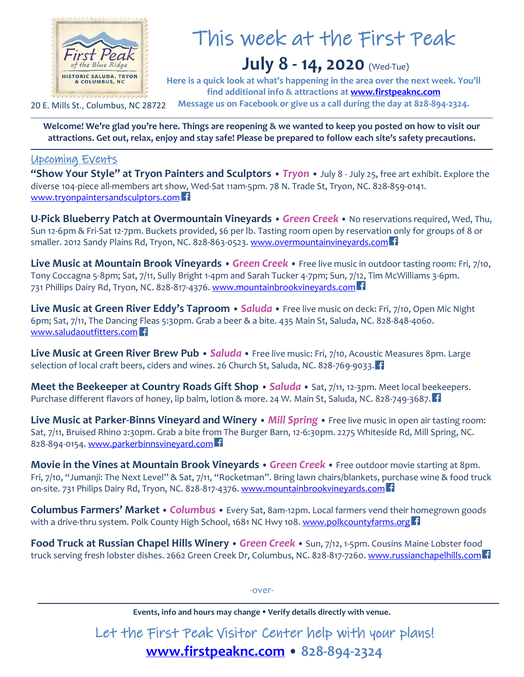

# This week at the First Peak

## **July 8 - 14, 2020** (Wed-Tue)

**Here is a quick look at what's happening in the area over the next week. You'll find additional info & attractions at [www.firstpeaknc.com](http://www.firstpeaknc.com/) Message us on Facebook or give us a call during the day at 828-894-2324.**

20 E. Mills St., Columbus, NC 28722

**Welcome! We're glad you're here. Things are reopening & we wanted to keep you posted on how to visit our attractions. Get out, relax, enjoy and stay safe! Please be prepared to follow each site's safety precautions.** 

#### Upcoming Events

**"Show Your Style" at Tryon Painters and Sculptors** • *Tryon* • July 8 - July 25, free art exhibit. Explore the diverse 104-piece all-members art show, Wed-Sat 11am-5pm. 78 N. Trade St, Tryon, NC. 828-859-0141. [www.tryonpaintersandsculptors.com](http://www.tryonpaintersandsculptors.com/)

**U-Pick Blueberry Patch at Overmountain Vineyards** • *Green Creek* • No reservations required, Wed, Thu, Sun 12-6pm & Fri-Sat 12-7pm. Buckets provided, \$6 per lb. Tasting room open by reservation only for groups of 8 or smaller. 2012 Sandy Plains Rd, Tryon, NC. 828-863-0523[. www.overmountainvineyards.com](http://www.overmountainvineyards.com/)

**Live Music at Mountain Brook Vineyards** • *Green Creek* • Free live music in outdoor tasting room: Fri, 7/10, Tony Coccagna 5-8pm; Sat, 7/11, Sully Bright 1-4pm and Sarah Tucker 4-7pm; Sun, 7/12, Tim McWilliams 3-6pm. 731 Phillips Dairy Rd, Tryon, NC. 828-817-4376. [www.mountainbrookvineyards.com](http://www.mountainbrookvineyards.com/)

**Live Music at Green River Eddy's Taproom** • *Saluda* • Free live music on deck: Fri, 7/10, Open Mic Night 6pm; Sat, 7/11, The Dancing Fleas 5:30pm. Grab a beer & a bite. 435 Main St, Saluda, NC. 828-848-4060. [www.saludaoutfitters.com](http://www.saludaoutfitters.com/)

**Live Music at Green River Brew Pub** • *Saluda* • Free live music: Fri, 7/10, Acoustic Measures 8pm. Large selection of local craft beers, ciders and wines. 26 Church St, Saluda, NC. 828-769-9033.

**Meet the Beekeeper at Country Roads Gift Shop** • *Saluda* • Sat, 7/11, 12-3pm. Meet local beekeepers. Purchase different flavors of honey, lip balm, lotion & more. 24 W. Main St, Saluda, NC. 828-749-3687.

**Live Music at Parker-Binns Vineyard and Winery** • *Mill Spring* • Free live music in open air tasting room: Sat, 7/11, Bruised Rhino 2:30pm. Grab a bite from The Burger Barn, 12-6:30pm. 2275 Whiteside Rd, Mill Spring, NC. 828-894-0154. [www.parkerbinnsvineyard.com](http://www.parkerbinnsvineyard.com/)

**Movie in the Vines at Mountain Brook Vineyards** • *Green Creek* • Free outdoor movie starting at 8pm. Fri, 7/10, "Jumanji: The Next Level" & Sat, 7/11, "Rocketman". Bring lawn chairs/blankets, purchase wine & food truck on-site. 731 Philips Dairy Rd, Tryon, NC. 828-817-4376. [www.mountainbrookvineyards.com](http://www.mountainbrookvineyards.com/)

**Columbus Farmers' Market** • *Columbus* • Every Sat, 8am-12pm. Local farmers vend their homegrown goods with a drive-thru system. Polk County High School, 1681 NC Hwy 108[. www.polkcountyfarms.org](http://www.polkcountyfarms.org/) f

**Food Truck at Russian Chapel Hills Winery** • *Green Creek* • Sun, 7/12, 1-5pm. Cousins Maine Lobster food truck serving fresh lobster dishes. 2662 Green Creek Dr, Columbus, NC. 828-817-7260. [www.russianchapelhills.com](http://www.russianchapelhills.com/)

-over-

**Events, info and hours may change Verify details directly with venue.**

Let the First Peak Visitor Center help with your plans! **[www.firstpeaknc.com](http://www.firstpeaknc.com/)** • **828-894-2324**